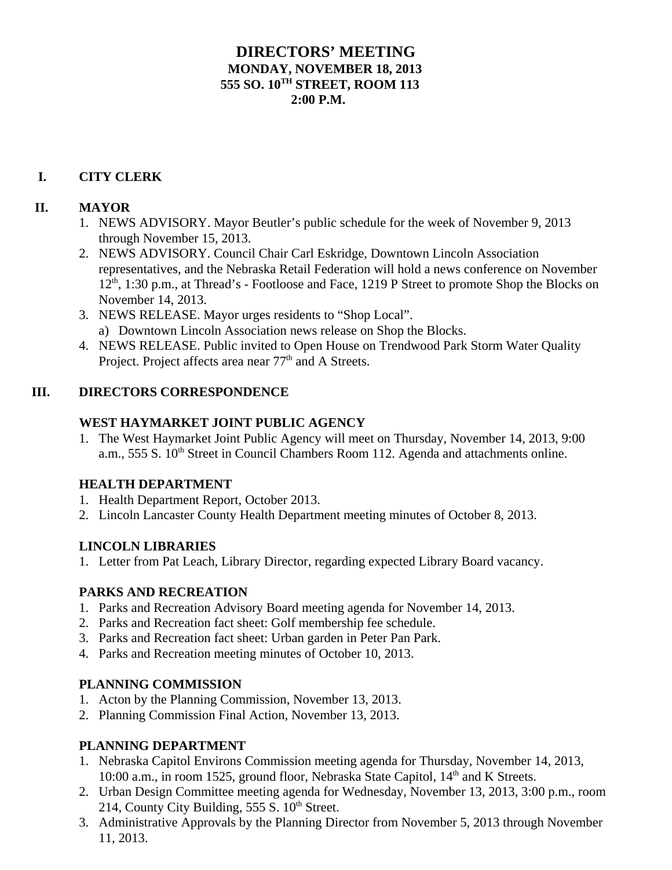## **DIRECTORS' MEETING MONDAY, NOVEMBER 18, 2013 555 SO. 10TH STREET, ROOM 113**  $2:00 \text{ P M}$

# **I. CITY CLERK**

### **II. MAYOR**

- 1. NEWS ADVISORY. Mayor Beutler's public schedule for the week of November 9, 2013 through November 15, 2013.
- 2. NEWS ADVISORY. Council Chair Carl Eskridge, Downtown Lincoln Association representatives, and the Nebraska Retail Federation will hold a news conference on November  $12<sup>th</sup>$ , 1:30 p.m., at Thread's - Footloose and Face, 1219 P Street to promote Shop the Blocks on November 14, 2013.
- 3. NEWS RELEASE. Mayor urges residents to "Shop Local". a) Downtown Lincoln Association news release on Shop the Blocks.
- 4. NEWS RELEASE. Public invited to Open House on Trendwood Park Storm Water Quality Project. Project affects area near 77<sup>th</sup> and A Streets.

### **III. DIRECTORS CORRESPONDENCE**

### **WEST HAYMARKET JOINT PUBLIC AGENCY**

1. The West Haymarket Joint Public Agency will meet on Thursday, November 14, 2013, 9:00 a.m., 555 S. 10<sup>th</sup> Street in Council Chambers Room 112. Agenda and attachments online.

#### **HEALTH DEPARTMENT**

- 1. Health Department Report, October 2013.
- 2. Lincoln Lancaster County Health Department meeting minutes of October 8, 2013.

## **LINCOLN LIBRARIES**

1. Letter from Pat Leach, Library Director, regarding expected Library Board vacancy.

## **PARKS AND RECREATION**

- 1. Parks and Recreation Advisory Board meeting agenda for November 14, 2013.
- 2. Parks and Recreation fact sheet: Golf membership fee schedule.
- 3. Parks and Recreation fact sheet: Urban garden in Peter Pan Park.
- 4. Parks and Recreation meeting minutes of October 10, 2013.

## **PLANNING COMMISSION**

- 1. Acton by the Planning Commission, November 13, 2013.
- 2. Planning Commission Final Action, November 13, 2013.

## **PLANNING DEPARTMENT**

- 1. Nebraska Capitol Environs Commission meeting agenda for Thursday, November 14, 2013, 10:00 a.m., in room 1525, ground floor, Nebraska State Capitol, 14<sup>th</sup> and K Streets.
- 2. Urban Design Committee meeting agenda for Wednesday, November 13, 2013, 3:00 p.m., room 214, County City Building,  $555 S$ .  $10<sup>th</sup> Street$ .
- 3. Administrative Approvals by the Planning Director from November 5, 2013 through November 11, 2013.